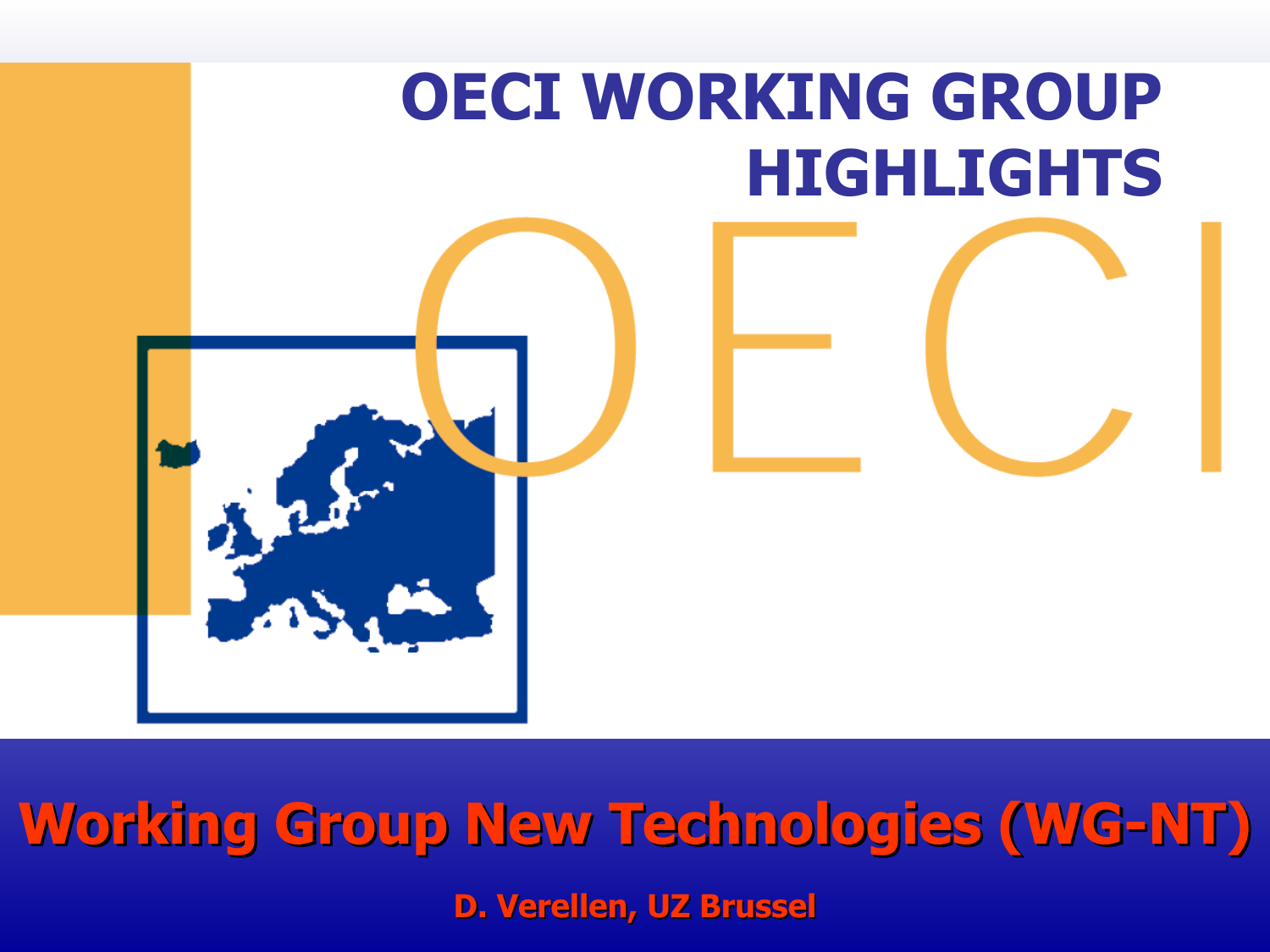

**Working Group New Technologies (WG-NT) D. Verellen, UZ Brussel**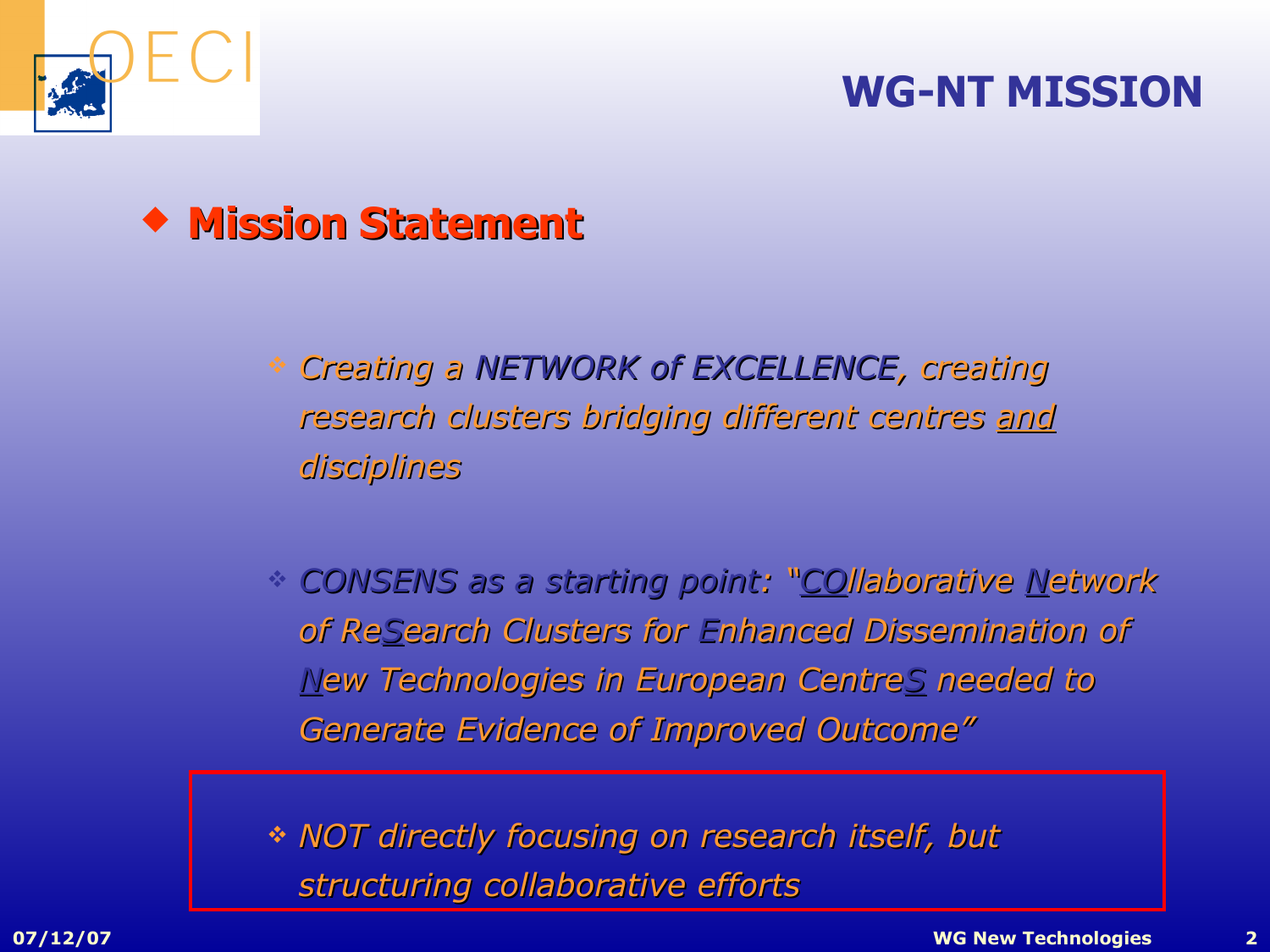

#### **WG-NT MISSION**



- *Creating a NETWORK of EXCELLENCE, creating research clusters bridging dif ging different centres and disciplines*
- *CONSENS as a starting point arting point: "COllaborative Network of ReSearch Cl arch Clusters for Enhanced Dissemination semination of New Technologies in European Centre ropean CentreS needed to Generate Evidence of Improved Outcome"*

 *NOT directly focusing on research itself, but structuring collaborative efforts*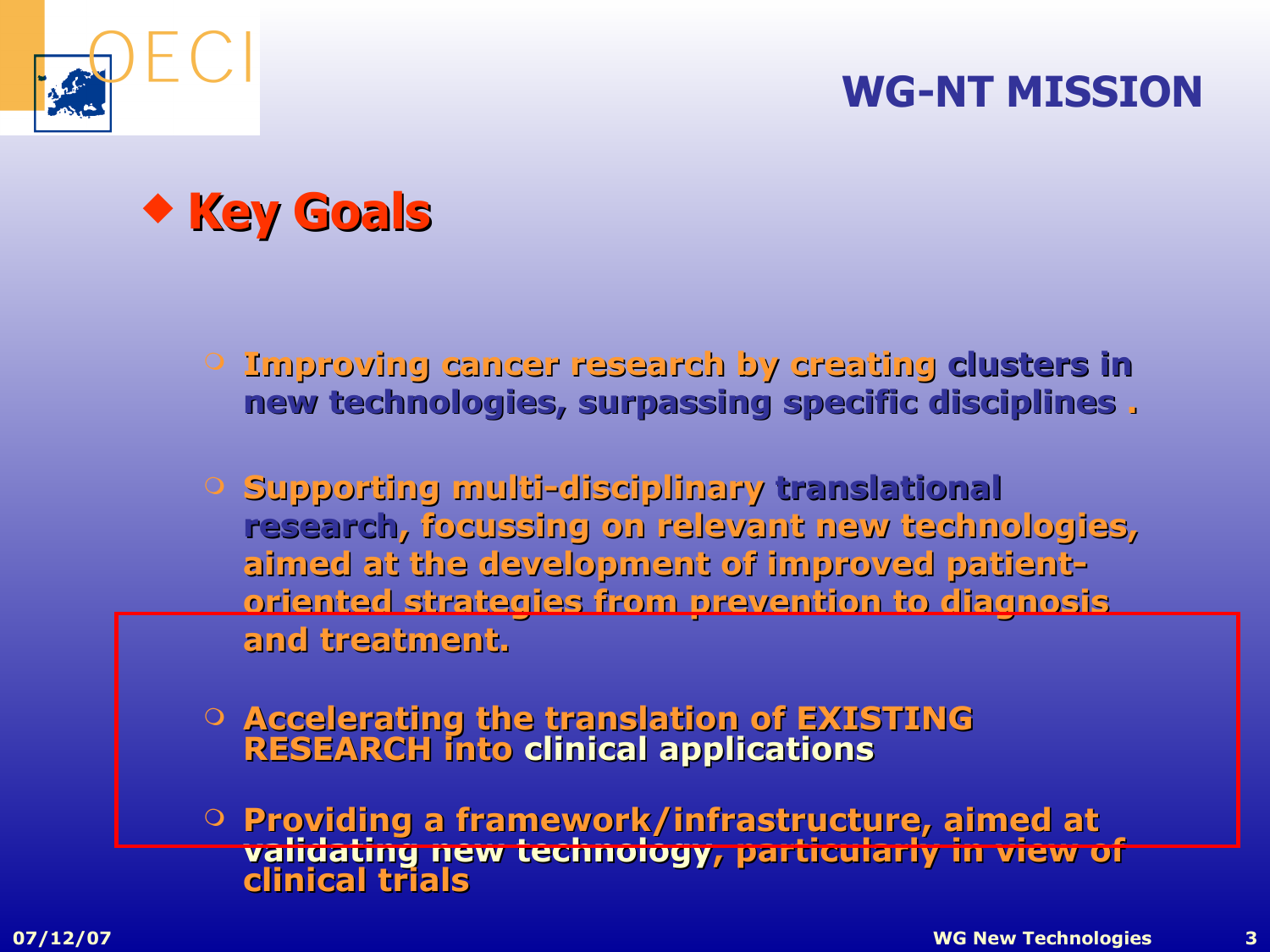#### **WG-NT MISSION**





 **Improving cancer research by creating clusters in new technologies, surpassing specific disciplines .**

- **Supporting multi-disciplinary translational research, focussing on relevant new technologies, aimed at the development of improved patientoriented strategies from prevention to diagnos diagnosis and treatment.**
- **Accelerating the translation of EXISTING RESEARCH into clinical applications**
- **Providing a framework/infrastructure, aimed at validating new technology, particularly in view of clinical trials**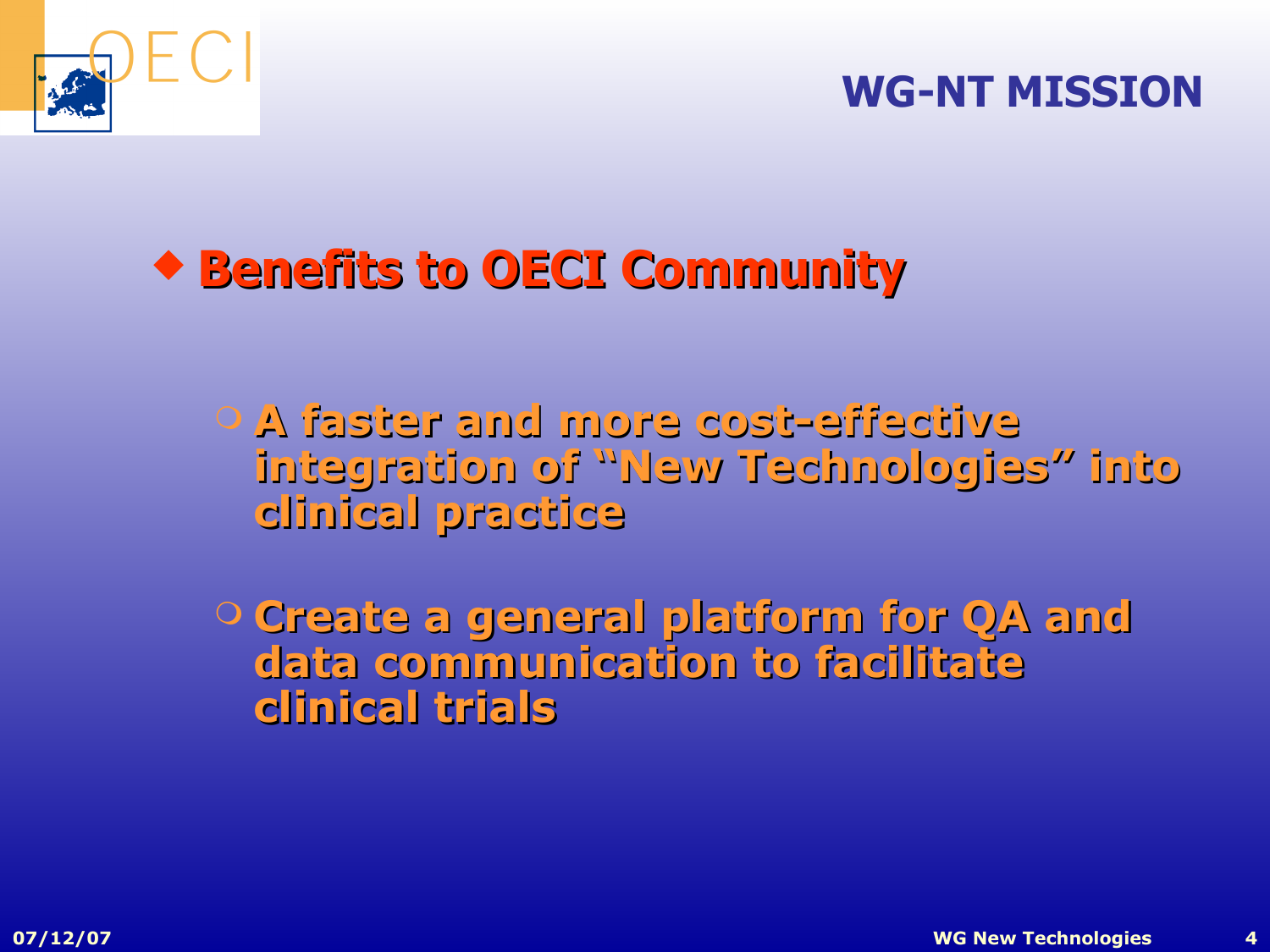

#### **WG-NT MISSION**

## **Benefits to efits to OECI Community**

- **A faster and more cost-effective integration of "New Technologies" into clinical practice**
- **Create a general platform for QA and data communication to facilitate clinical trials**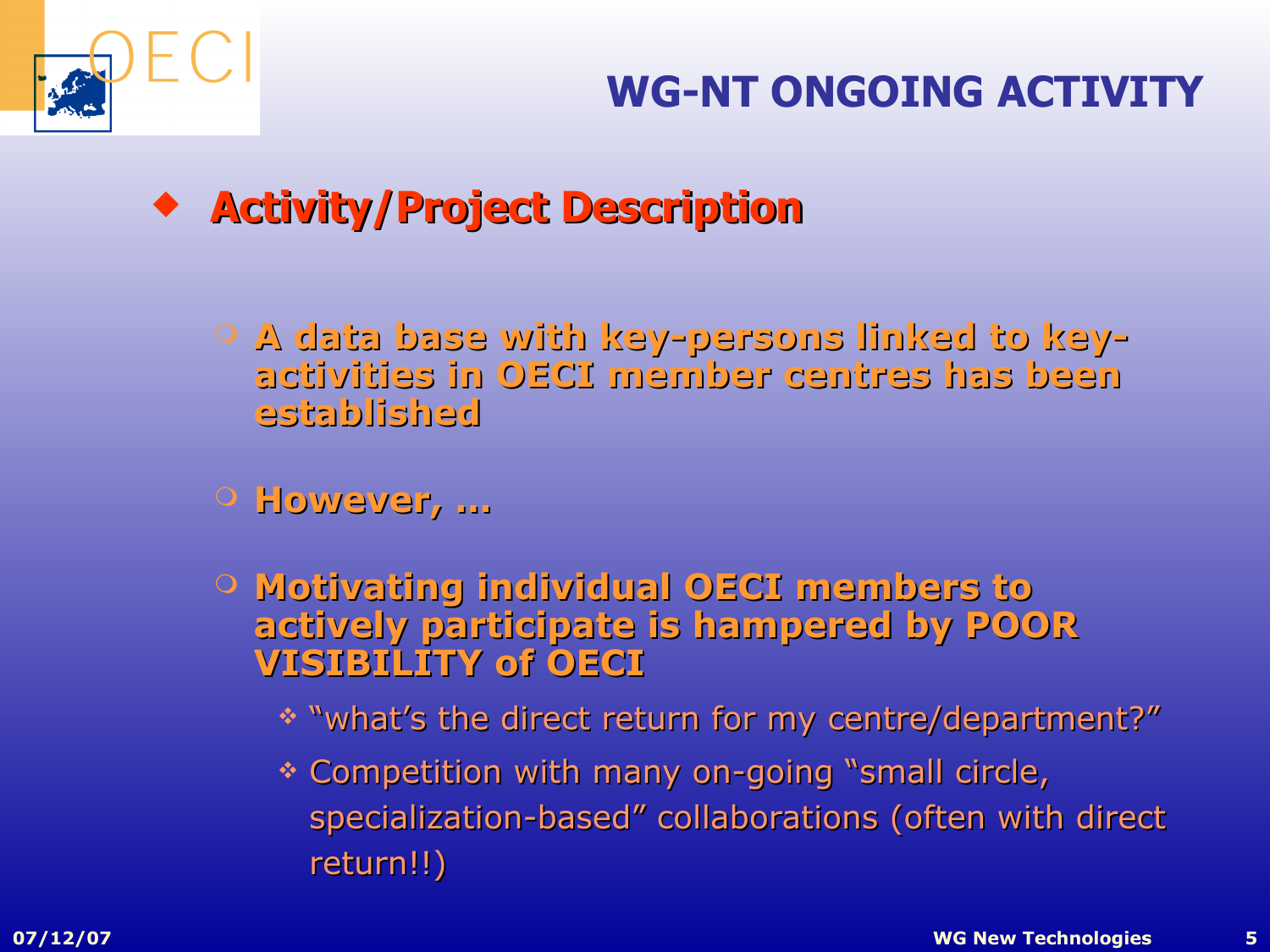

- **Activity/Project Description**
	- **A data base with key-persons linked to keyactivities in OECI member centres has been established**
	- **However, …**
	- **Motivating individual OECI members to actively participate is hampered by POOR VISIBILITY of OECI**
		- \* "what's the direct return for my centre/department?"
		- \* Competition with many on-going "small circle, specialization-based" collaborations (often with direct return!!)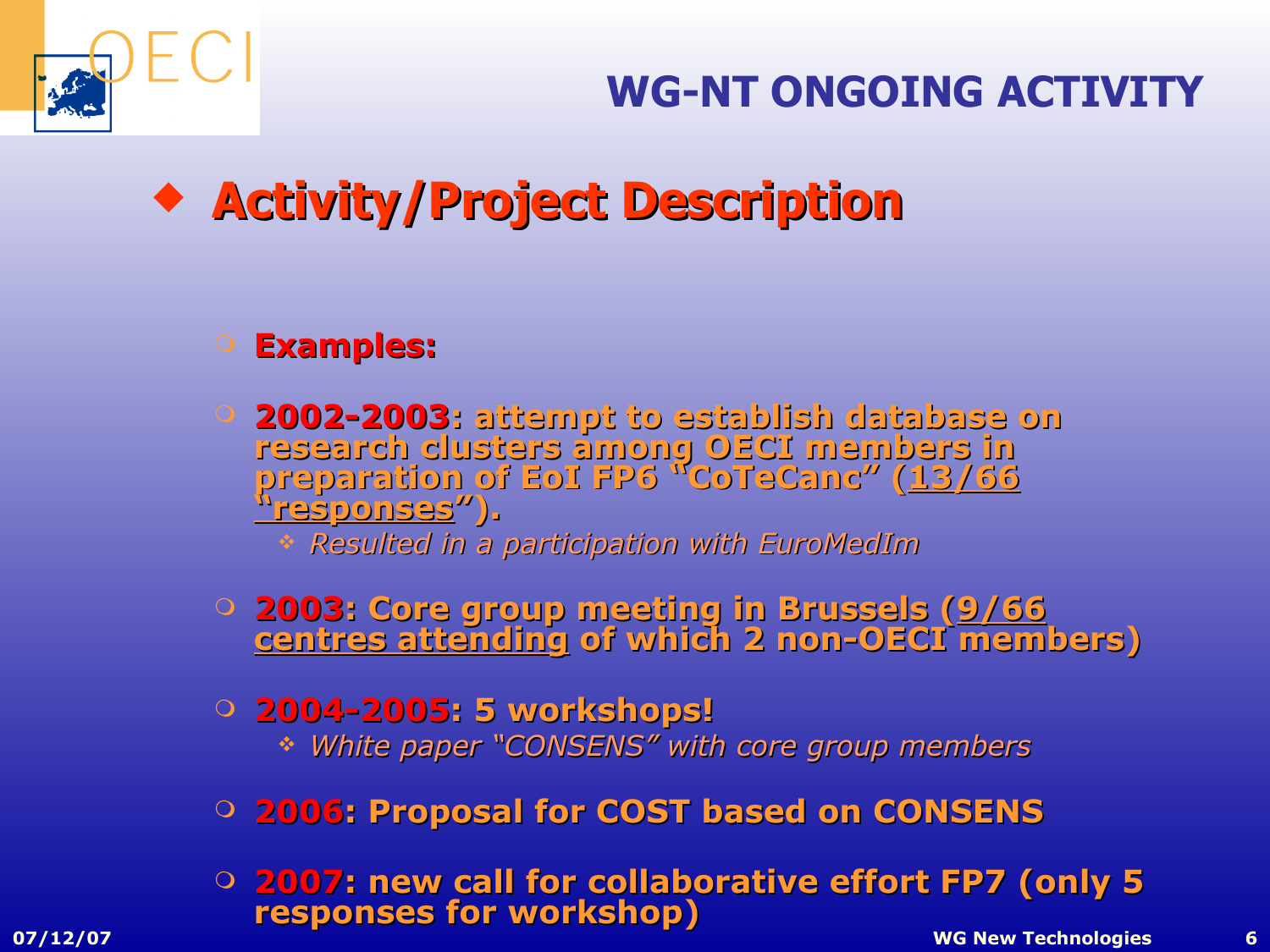

## **WG-NT ONGOING ACTIVITY**

**\*** Activity/Project Description

#### **Examples:**

 **2002-2003: attempt to establish database database on research clusters among OECI members in preparation of EoI FP6 "CoTeCanc" (13/66 "responses").**

*Resulted in a participation with EuroMedIm*

- **2003: Core group meeting in Brussels (9/66 centres attending of which 2 non-OECI members)**
- **2004-2005: 5 workshops!** *White paper "CONSENS" with core group members*
- **2006: Proposal for COST based on CONSENS**
- **07/12/07 WG New Technologies 6 2007: new call for collaborative effort FP7 (only 5 responses for workshop)**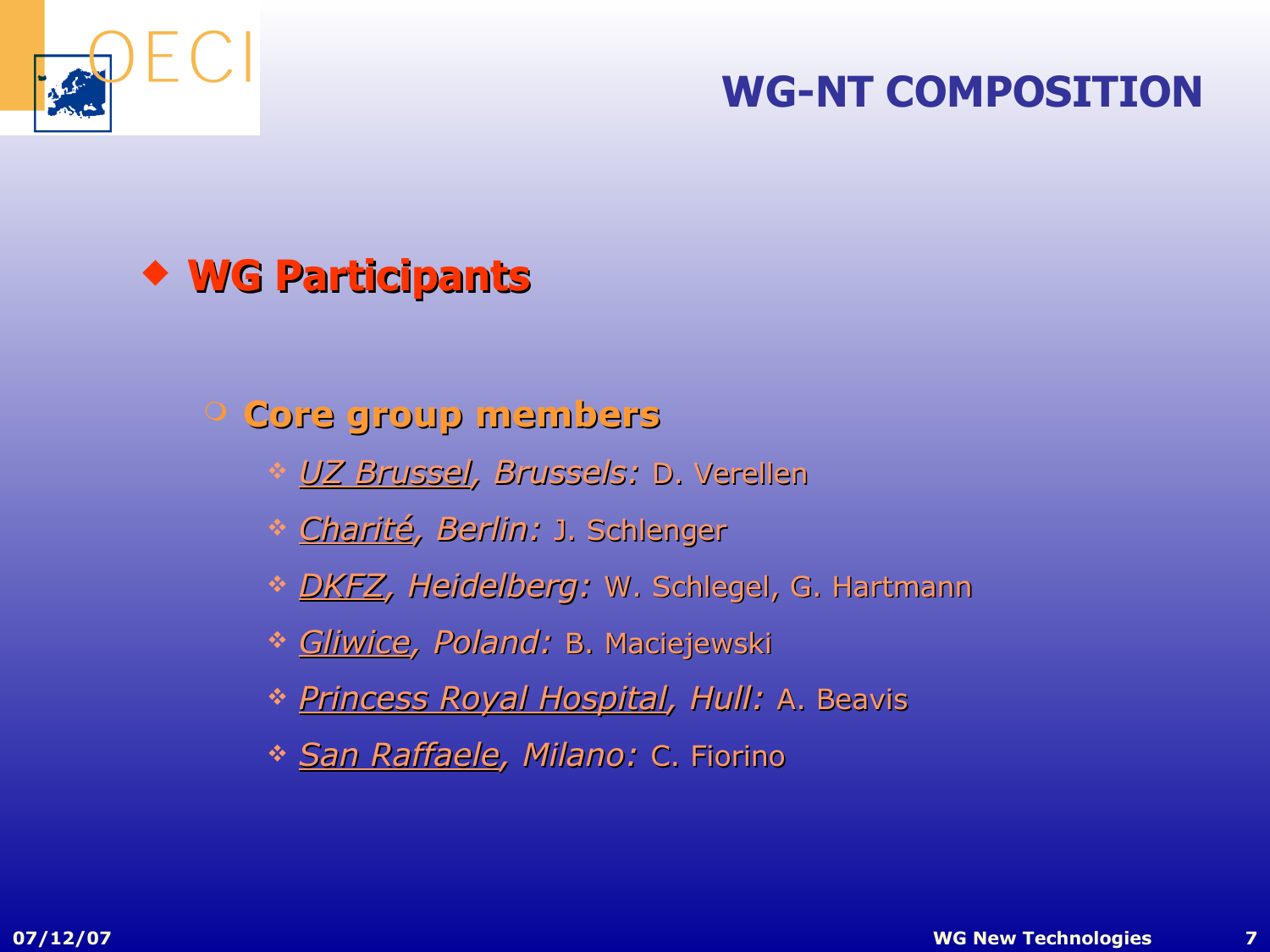

#### **WG-NT COMPOSITION**

### **WG Participants**

#### **Core group members**

- *UZ Brussel, Brussels:* D. Verellen
- *Charité, Berlin:* J. Schlenger
- *DKFZ, Heidelberg:* W. Schlegel, G. Hartmann
- *Gliwice, Poland:* B. Maciejewski
- *Princess Royal Hospital, Hull:* A. Beavis
- *San Raffaele, Milano:* C. Fiorino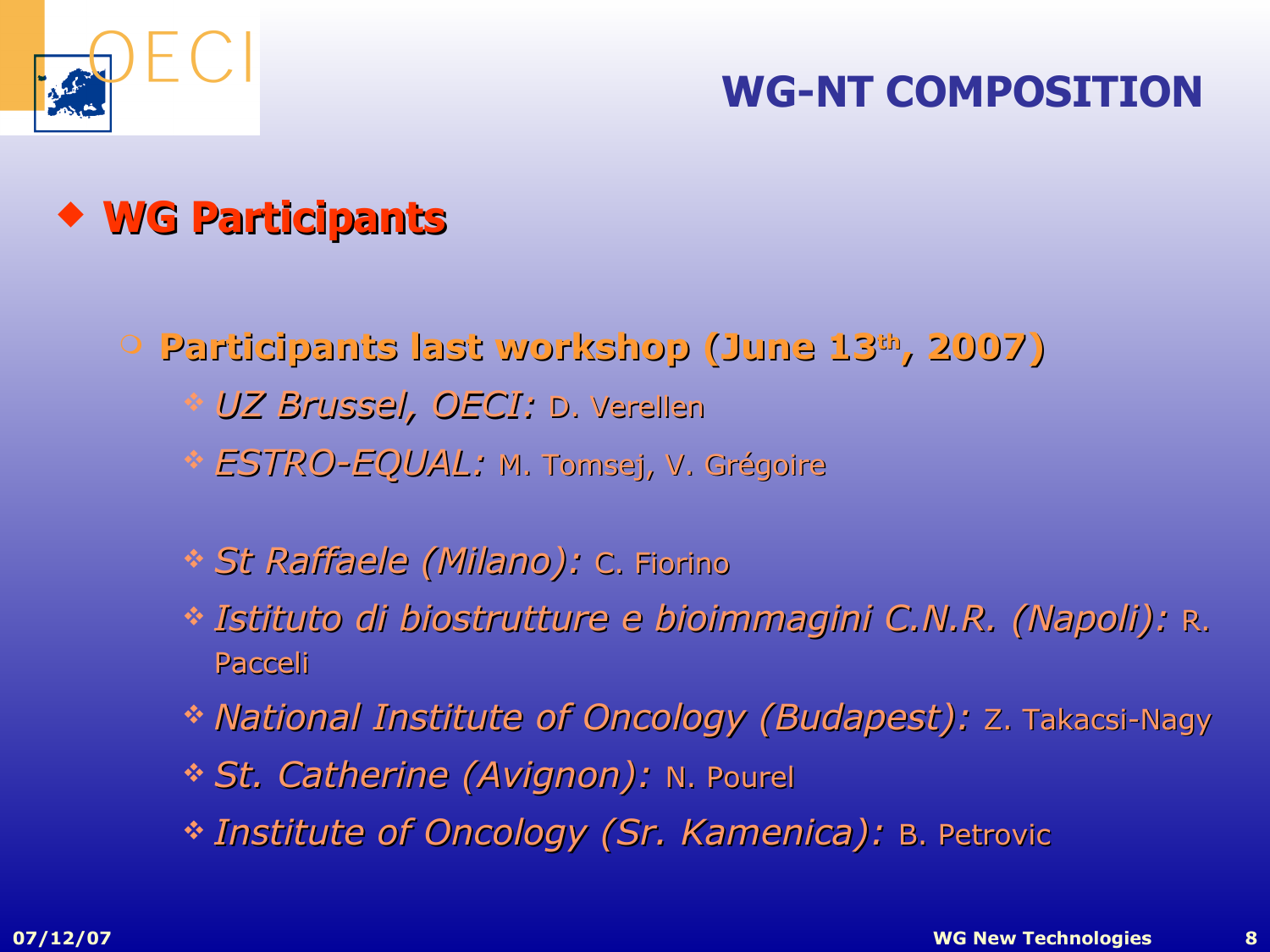

#### **WG-NT COMPOSITION**

## **WG Participants**

**Participants last workshop (June 13th , 2007)**

- *UZ Brussel, OECI:* D. Verellen
- *ESTRO-EQUAL:* M. Tomsej, V. Grégoire
- *St Raffaele (Milano):* C. Fiorino
- *Istituto di biostrutture e bioimmagini C.N.R. (Napoli):* R. Pacceli
- \* National Institute of Oncology (Budapest): Z. Takacsi-Nagy
- *St. Catherine (Avignon):* N. Pourel
- *Institute of Oncology (Sr. Kamenica):* B. Petrovic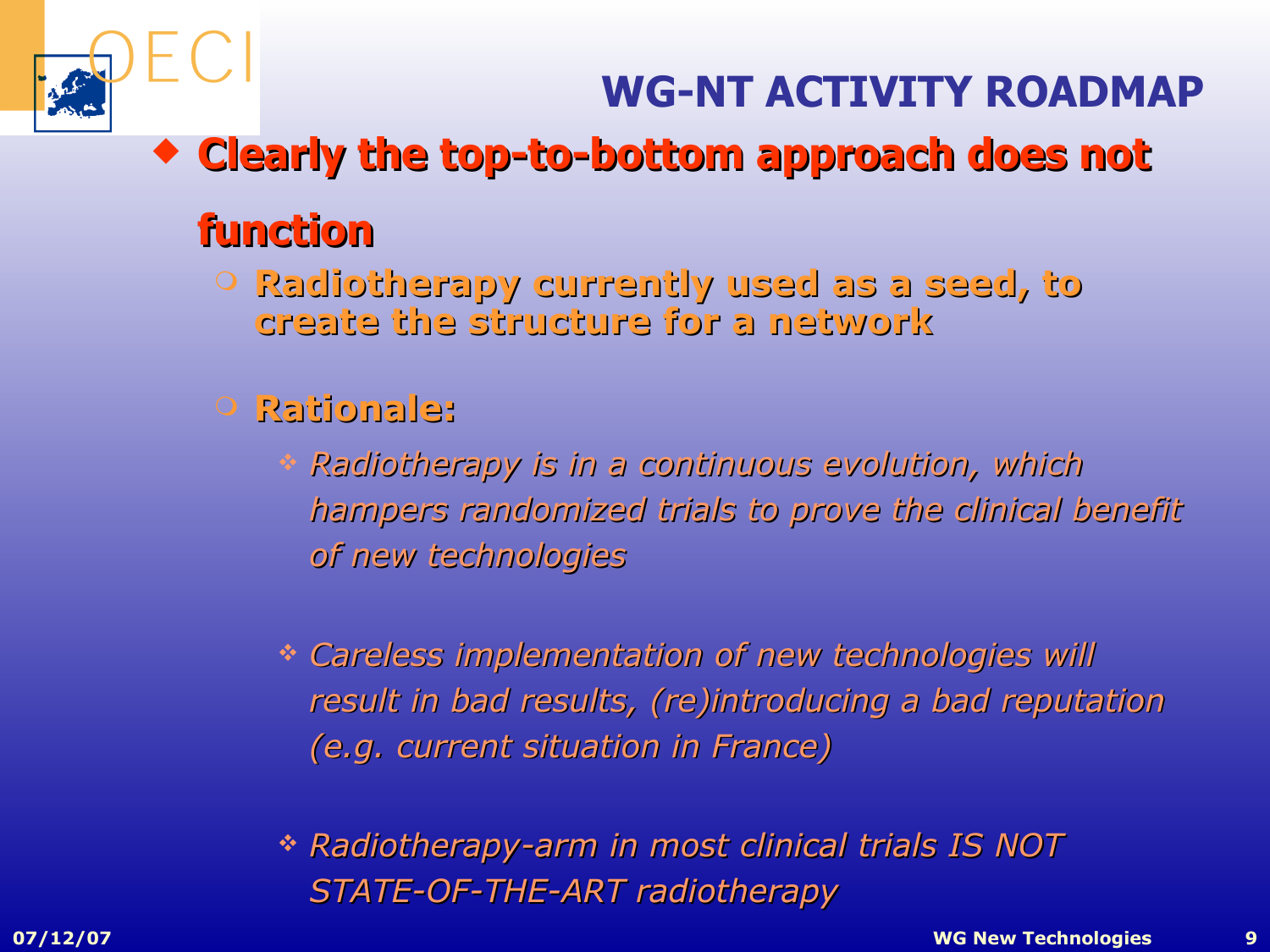## **WG-NT ACTIVITY ROADMAP**

**Clearly the top-to-bottom approach does not** 

## **function**

- **Radiotherapy currently used as a seed, to create the structure for a network**
- **Rationale:**
	- *Radiotherapy is in a continuous ev nuous evolution, olution, which hampers randomi s randomized trials ed trials to prove the clinical clinical benefit of new technologies*
	- *Careless implementation ntation of new technologies technologies will result in bad results, (re)introducing a bad reputation (e.g. current situation in France) France)*
	- *Radiotherapy-arm in most clinical clinical trials IS NOT STATE-OF-THE-ART radiotherap adiotherapy*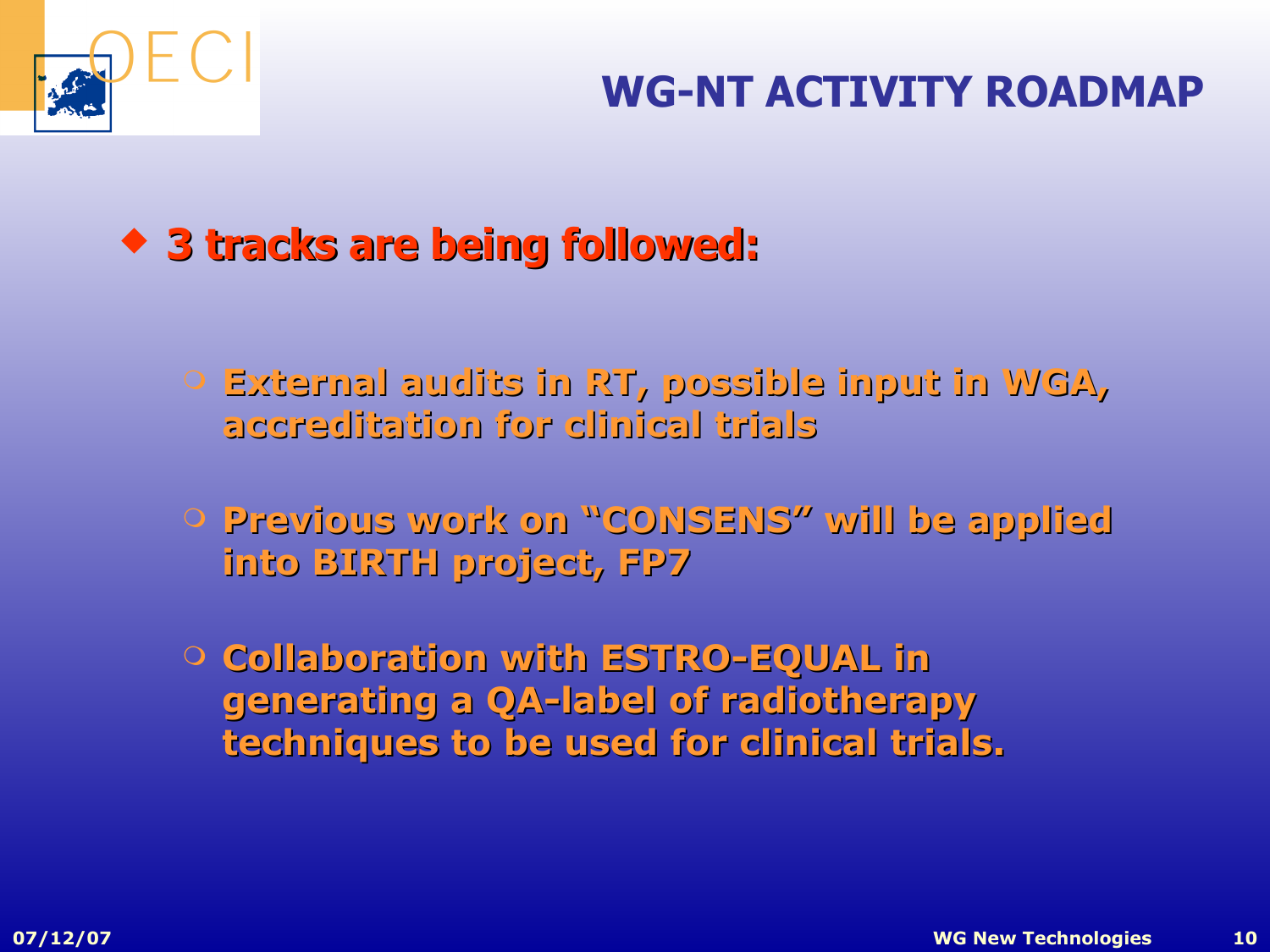

## **★ 3 tracks are being followed:**

- **External audits in RT, possible input in WGA, accreditation for clinical trials**
- **Previous work on "CONSENS" will be applied into BIRTH project, F oject, FP7**
- **Collaboration with ESTRO-EQUAL in generating a QA-label of radiotherapy techniques to be used for clinical trials.**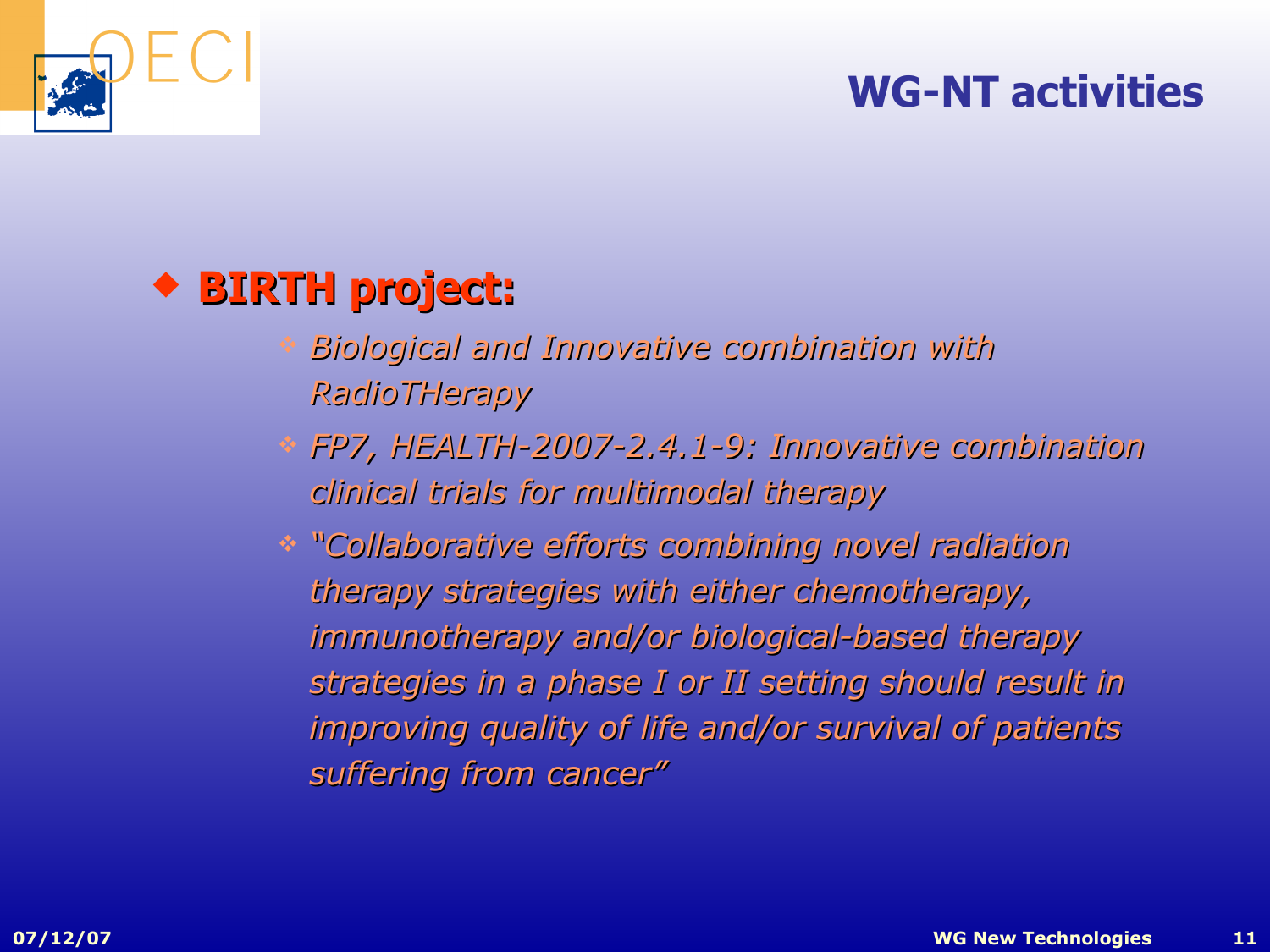

## **BIRTH project:**

- *Biological and Innovative combination with RadioTHerapy*
- *FP7, HEALTH-2007- TH-2007-2.4.1-9: Innov 9: Innovative combination e combination clinical trial inical trials for multimodal therapy*
- *"Collaborativ Collaborative efforts combining nov orts combining novel radiation therapy strategies ategies with either chemother th either chemotherapy, immunotherapy and/or biological- biological-based therapy strategies in a phase I or II setting should result in improving quality of life and/or survival of patients suffering from cancer"*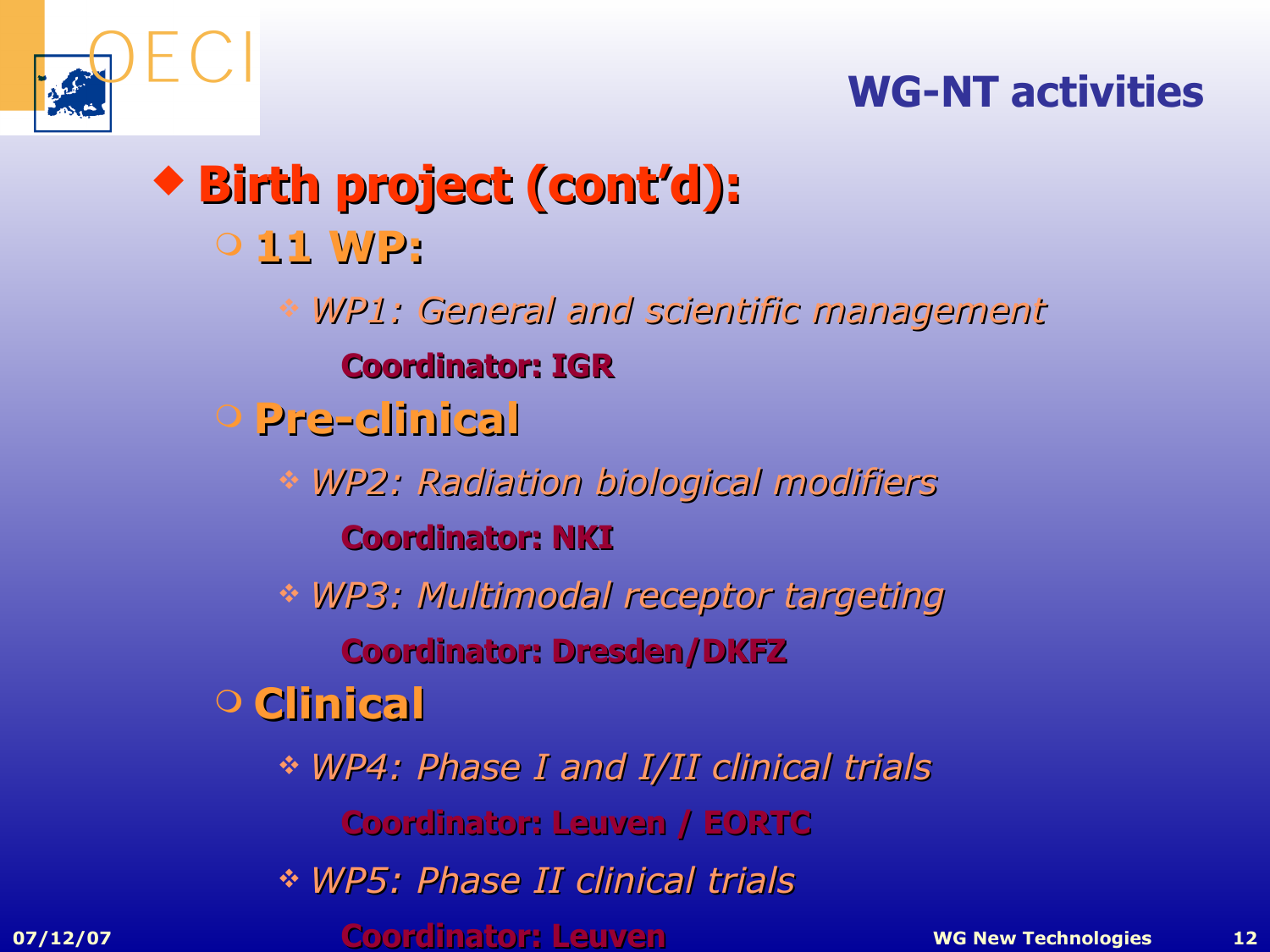

- **Birth projec Birth project (cont'd): 11 WP:** *WP1: General General and scientific management* **Coordinator: IGR**
	- **Pre-clinical**
		- *WP2: Radiation biological modifiers* **Coordinator: NKI**
		- *WP3: Multimodal receptor receptor targeting*
			- **Coordinator: Dresden/DKFZ**
	- **Clinical**
		- *WP4: Phase I and I/II clinical trials*
			- **Coordinator: Leuven / EORTC**
		- *WP5: Phase II clinical trials*
- **07/12/07 WG New Technologies 12 Coordinator: Leuven**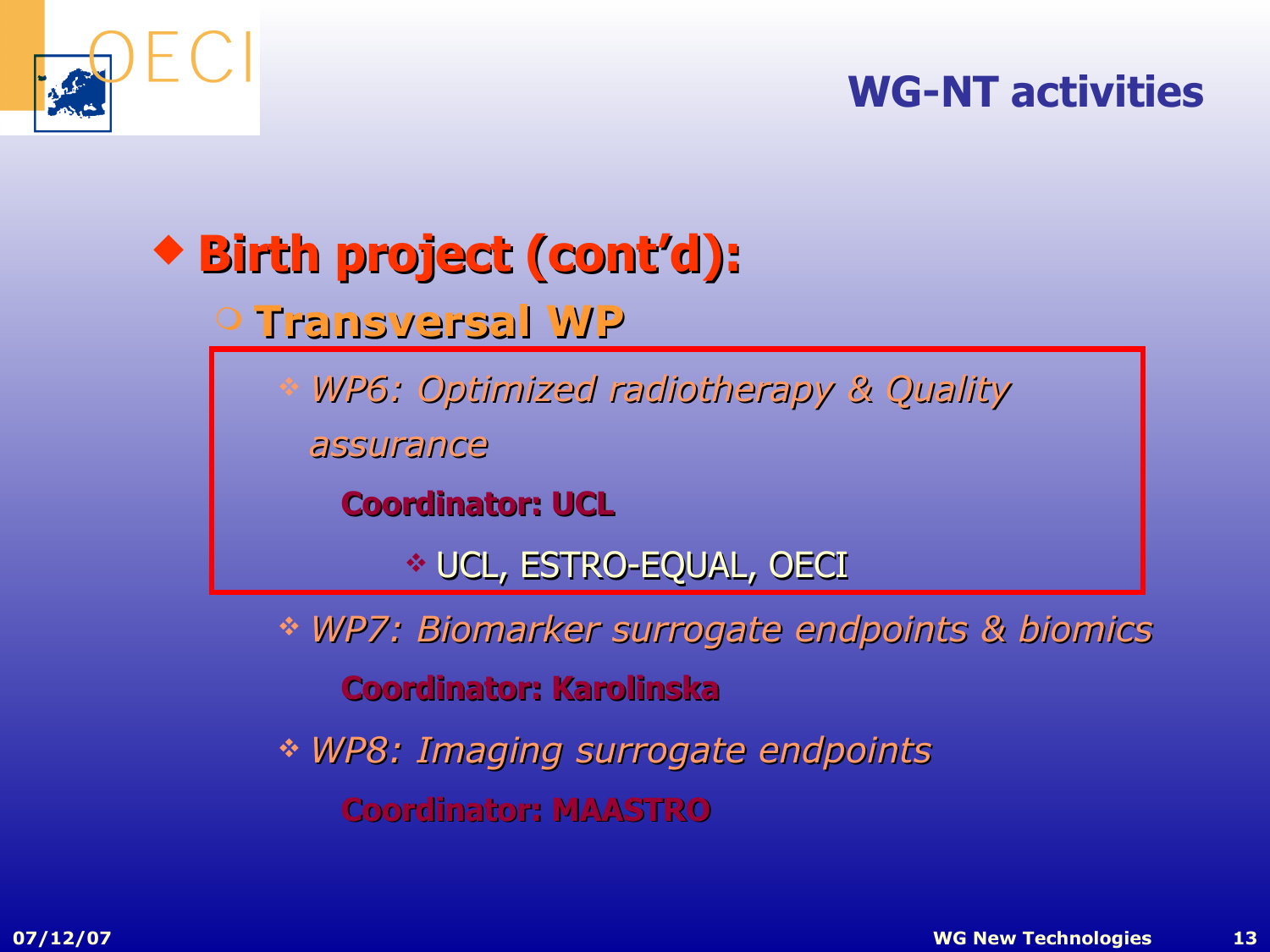

# **Birth projec Birth project (cont'd):**

## **Transversal WP**

*WP6: Optimized radiotherapy & Quality* 

*assurance*

**Coordinator: UCL**

UCL, ESTRO-EQUAL, OECI

 *WP7: Biomarker surrogate endpoints & biomics* **Coordinator: Karolinska** 

 $*$  *WP8: Imaging surrogate endpoints* 

**Coordinator: MAASTRO**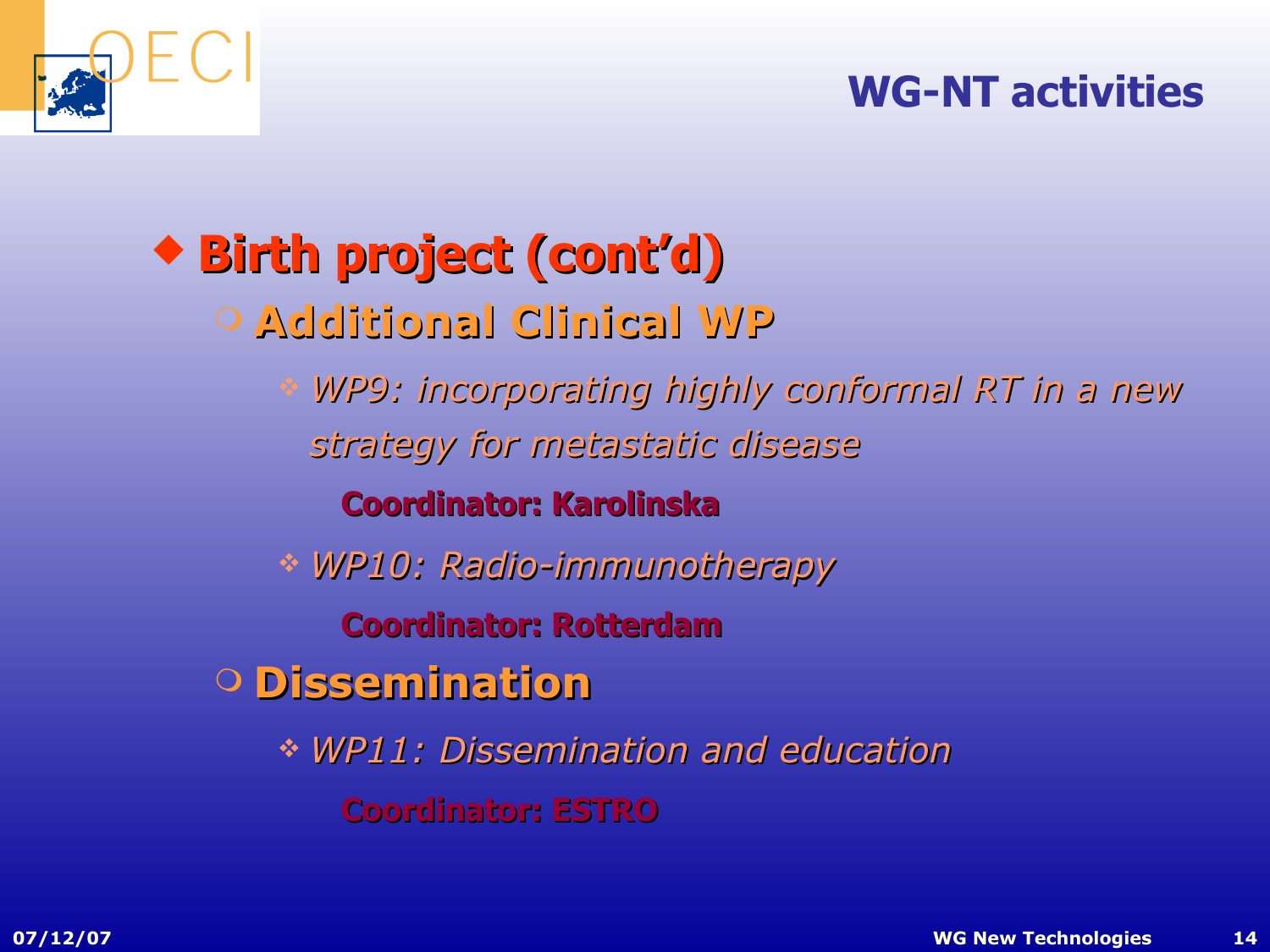

# **Birth projec Birth project (cont'd)**

- **Additional Clinical WP**
	- *WP9: incorporating highly conformal RT in a new strategy for metastati etastatic disease*

#### **Coordinator: Karolinska**

*WP10: Radio-im Radio-immunotherapy*

**Coordinator: Rotterdam** 

**Dissemination**

 $*$  *WP11: Dissemination and education* **Coordinator: ESTRO**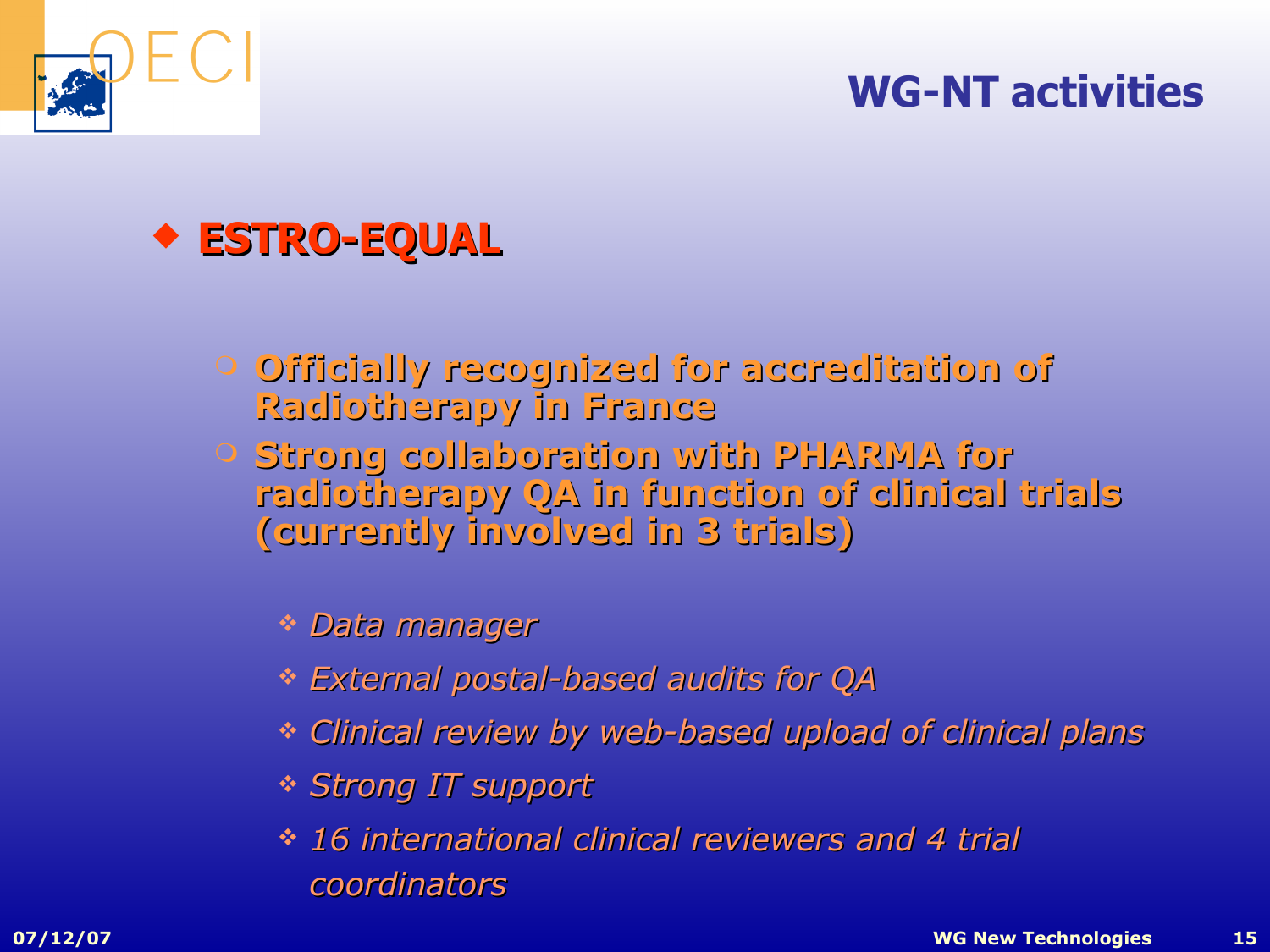



- **Officially recognized for accreditation of Radiotherapy in France**
- **Strong collaboration with PHARMA for radiotherapy QA in function of clinical trials (currently involved in 3 trials)**
	- *Data manager*
	- *External postal-bas tal-based audits for QA*
	- *Clinical Clinical review by web-based upload ed upload of clinical clinical plans*
	- *Strong IT rong IT support*
	- $\cdot$  16 international clinical reviewers and 4 trial *coordinators*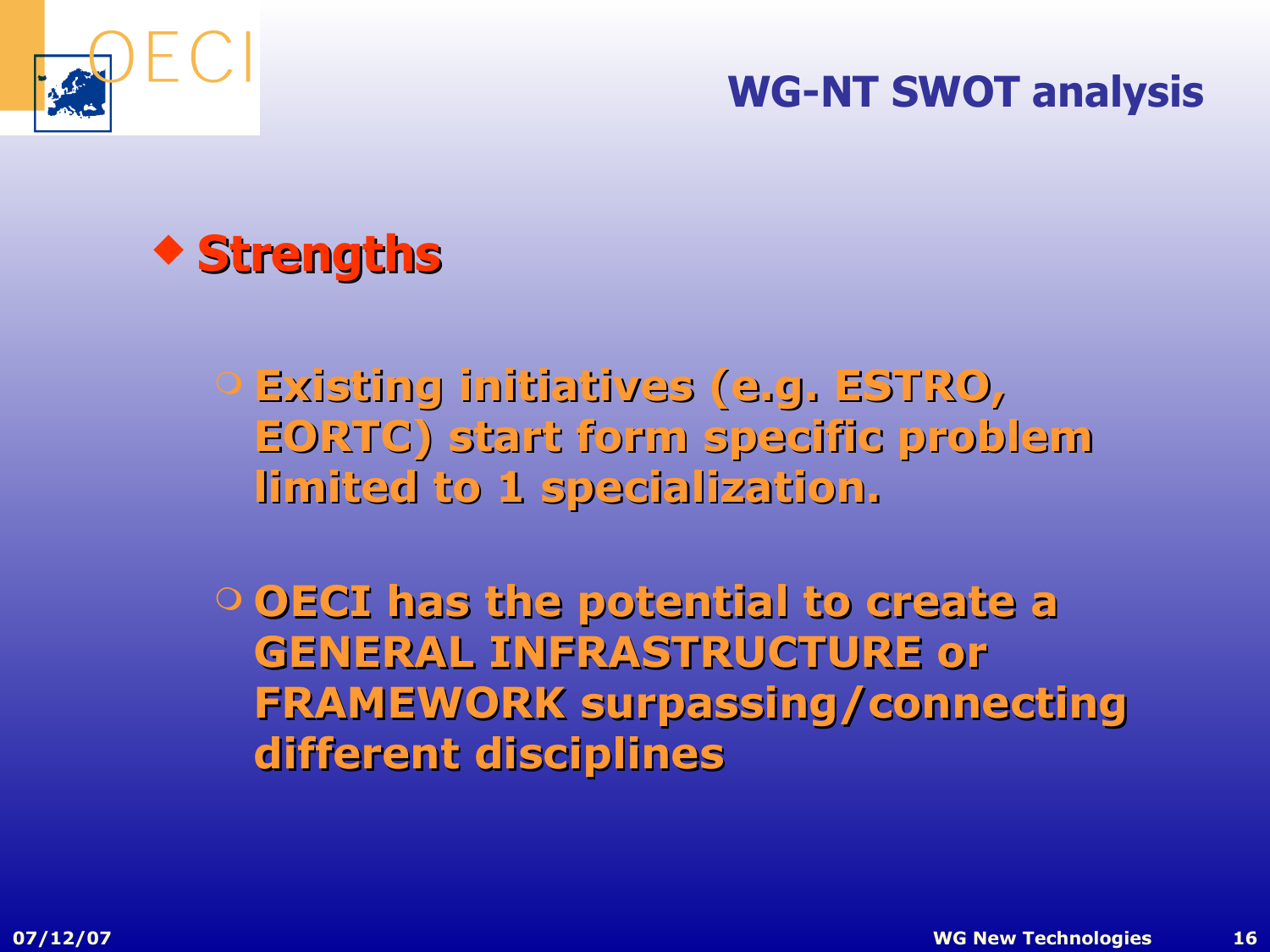

#### **WG-NT SWOT analysis**



- **Existing initiatives (e.g. ESTRO, EORTC) start form specific problem limited to 1 specialization.**
- **OECI has the potential to create a GENERAL INFRASTRUCTURE or FRAMEWORK surpassing/connecting different disciplines**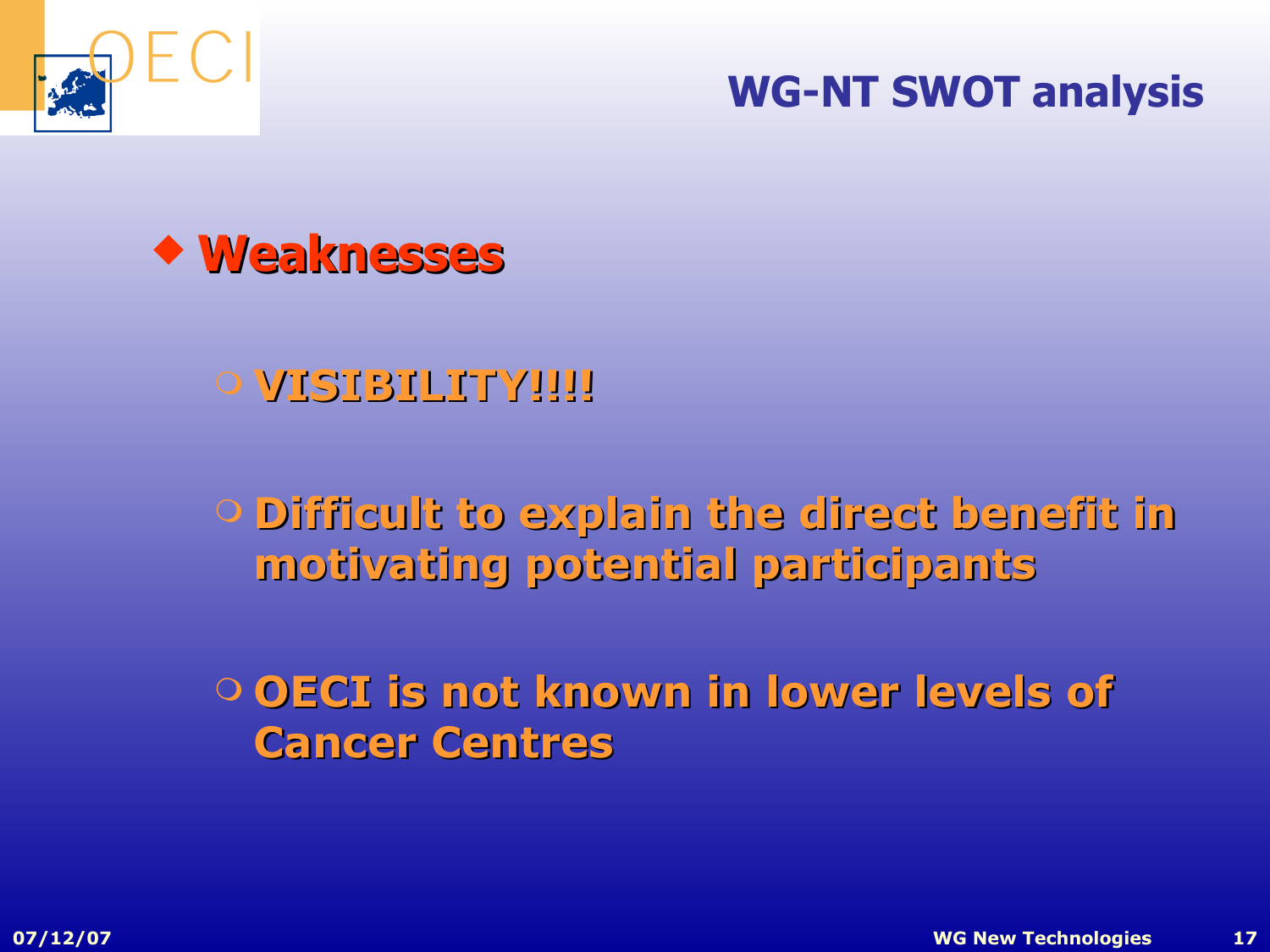

#### **WG-NT SWOT analysis**



#### **O VISIBILITY!!!!**

 **Difficult to explain the direct benefit in motivating potential participa rticipants**

 **OECI is not known in lower levels of Cancer Centres**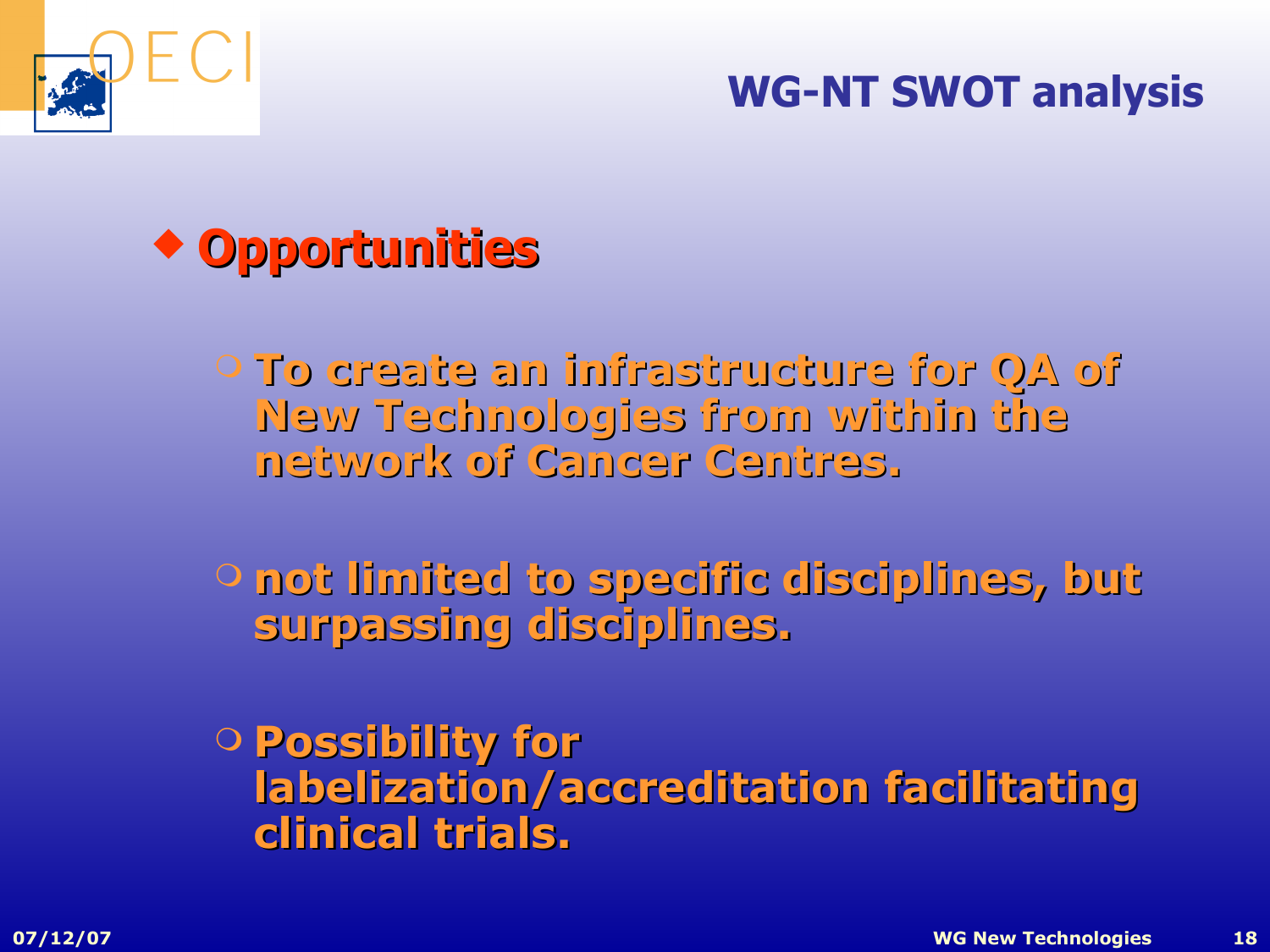

#### **WG-NT SWOT analysis**



**Prophengie an infrastructure for QA of New Technologies from within the network of Cance f Cancer Centres.**

 **not limited to specific disciplines, but surpassing disciplines.**

 **Possibility for labelization/accreditation facilitating clinical trials.**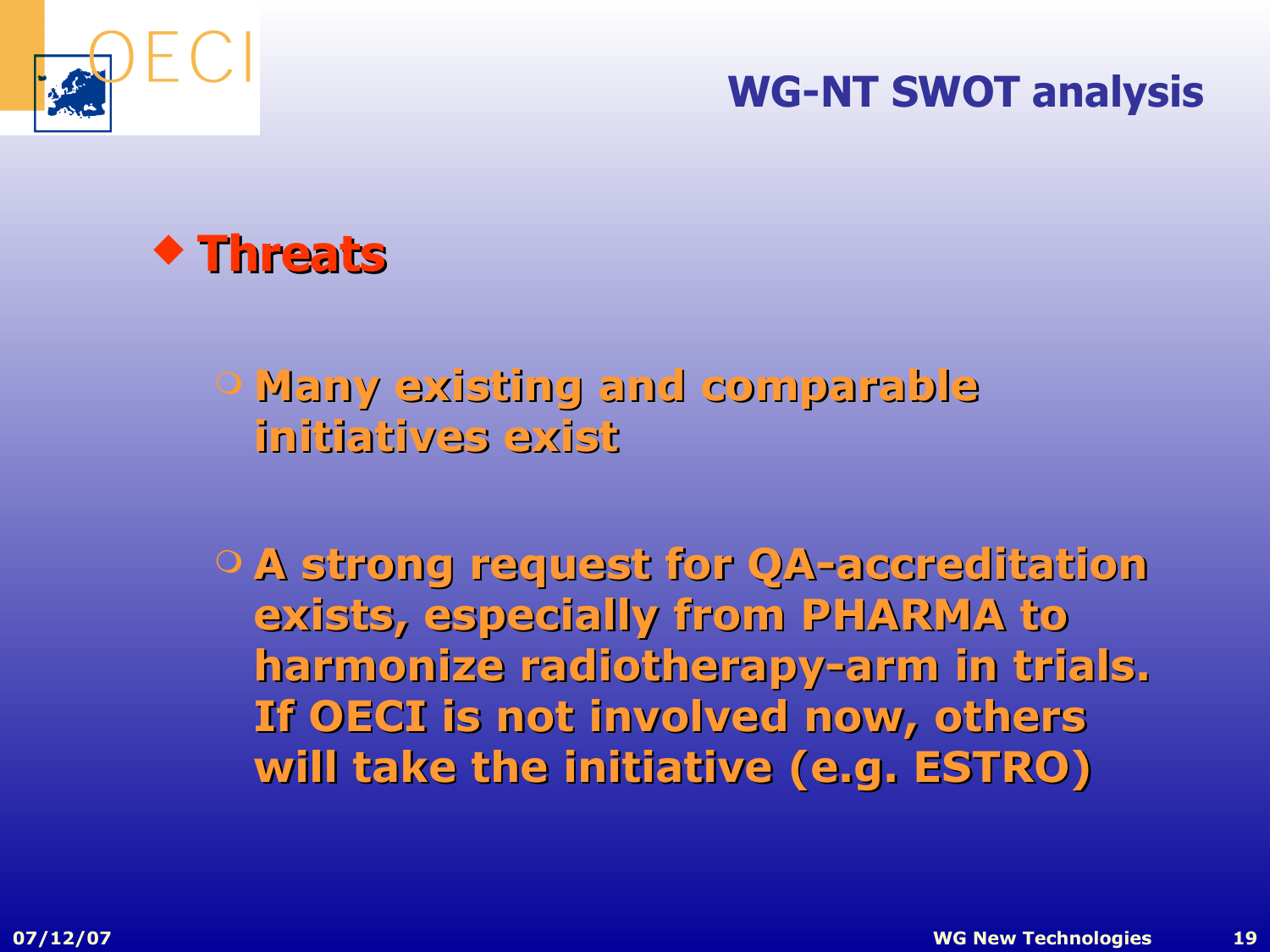





## **Many exist y existing and comparable initiatives exist**

 **A strong request for QA-accreditation exists, especially from PHARMA to harmonize radiotherapy-arm in trials.**  If OECI is not involved now, others **will take the initiative (e.g. ESTRO)**